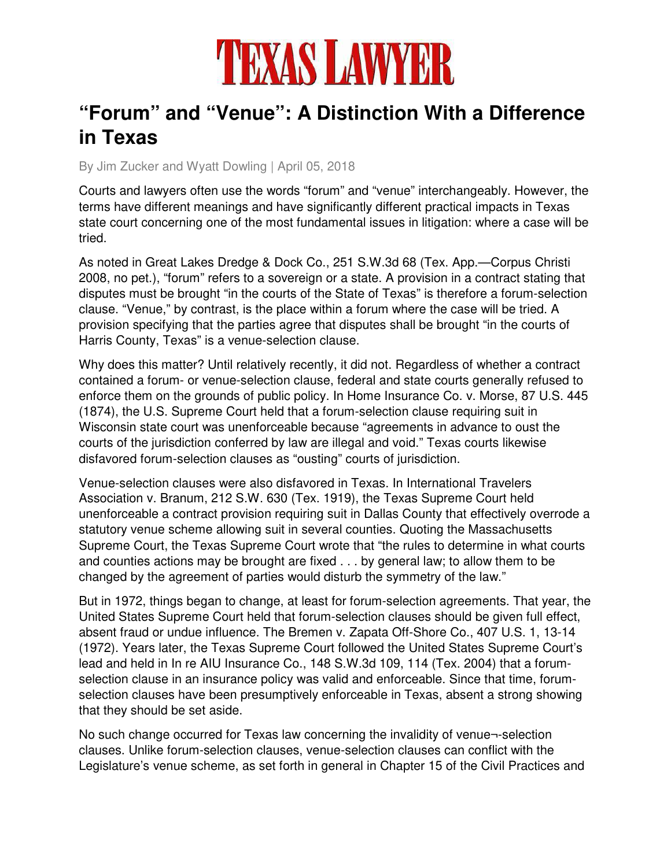

## **"Forum" and "Venue": A Distinction With a Difference in Texas**

By Jim Zucker and Wyatt Dowling | April 05, 2018

Courts and lawyers often use the words "forum" and "venue" interchangeably. However, the terms have different meanings and have significantly different practical impacts in Texas state court concerning one of the most fundamental issues in litigation: where a case will be tried.

As noted in Great Lakes Dredge & Dock Co., 251 S.W.3d 68 (Tex. App.—Corpus Christi 2008, no pet.), "forum" refers to a sovereign or a state. A provision in a contract stating that disputes must be brought "in the courts of the State of Texas" is therefore a forum-selection clause. "Venue," by contrast, is the place within a forum where the case will be tried. A provision specifying that the parties agree that disputes shall be brought "in the courts of Harris County, Texas" is a venue-selection clause.

Why does this matter? Until relatively recently, it did not. Regardless of whether a contract contained a forum- or venue-selection clause, federal and state courts generally refused to enforce them on the grounds of public policy. In Home Insurance Co. v. Morse, 87 U.S. 445 (1874), the U.S. Supreme Court held that a forum-selection clause requiring suit in Wisconsin state court was unenforceable because "agreements in advance to oust the courts of the jurisdiction conferred by law are illegal and void." Texas courts likewise disfavored forum-selection clauses as "ousting" courts of jurisdiction.

Venue-selection clauses were also disfavored in Texas. In International Travelers Association v. Branum, 212 S.W. 630 (Tex. 1919), the Texas Supreme Court held unenforceable a contract provision requiring suit in Dallas County that effectively overrode a statutory venue scheme allowing suit in several counties. Quoting the Massachusetts Supreme Court, the Texas Supreme Court wrote that "the rules to determine in what courts and counties actions may be brought are fixed . . . by general law; to allow them to be changed by the agreement of parties would disturb the symmetry of the law."

But in 1972, things began to change, at least for forum-selection agreements. That year, the United States Supreme Court held that forum-selection clauses should be given full effect, absent fraud or undue influence. The Bremen v. Zapata Off-Shore Co., 407 U.S. 1, 13-14 (1972). Years later, the Texas Supreme Court followed the United States Supreme Court's lead and held in In re AIU Insurance Co., 148 S.W.3d 109, 114 (Tex. 2004) that a forumselection clause in an insurance policy was valid and enforceable. Since that time, forumselection clauses have been presumptively enforceable in Texas, absent a strong showing that they should be set aside.

No such change occurred for Texas law concerning the invalidity of venue¬-selection clauses. Unlike forum-selection clauses, venue-selection clauses can conflict with the Legislature's venue scheme, as set forth in general in Chapter 15 of the Civil Practices and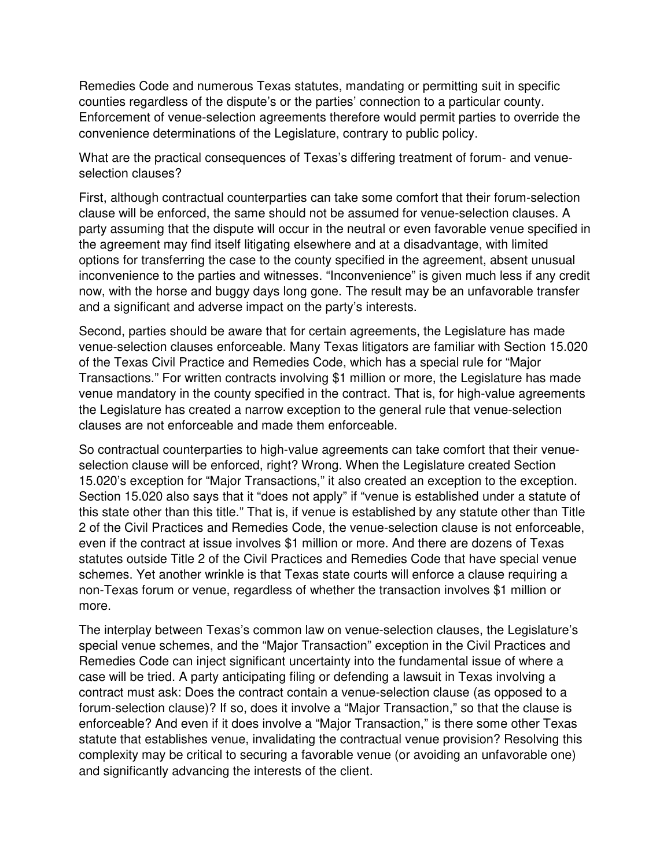Remedies Code and numerous Texas statutes, mandating or permitting suit in specific counties regardless of the dispute's or the parties' connection to a particular county. Enforcement of venue-selection agreements therefore would permit parties to override the convenience determinations of the Legislature, contrary to public policy.

What are the practical consequences of Texas's differing treatment of forum- and venueselection clauses?

First, although contractual counterparties can take some comfort that their forum-selection clause will be enforced, the same should not be assumed for venue-selection clauses. A party assuming that the dispute will occur in the neutral or even favorable venue specified in the agreement may find itself litigating elsewhere and at a disadvantage, with limited options for transferring the case to the county specified in the agreement, absent unusual inconvenience to the parties and witnesses. "Inconvenience" is given much less if any credit now, with the horse and buggy days long gone. The result may be an unfavorable transfer and a significant and adverse impact on the party's interests.

Second, parties should be aware that for certain agreements, the Legislature has made venue-selection clauses enforceable. Many Texas litigators are familiar with Section 15.020 of the Texas Civil Practice and Remedies Code, which has a special rule for "Major Transactions." For written contracts involving \$1 million or more, the Legislature has made venue mandatory in the county specified in the contract. That is, for high-value agreements the Legislature has created a narrow exception to the general rule that venue-selection clauses are not enforceable and made them enforceable.

So contractual counterparties to high-value agreements can take comfort that their venueselection clause will be enforced, right? Wrong. When the Legislature created Section 15.020's exception for "Major Transactions," it also created an exception to the exception. Section 15.020 also says that it "does not apply" if "venue is established under a statute of this state other than this title." That is, if venue is established by any statute other than Title 2 of the Civil Practices and Remedies Code, the venue-selection clause is not enforceable, even if the contract at issue involves \$1 million or more. And there are dozens of Texas statutes outside Title 2 of the Civil Practices and Remedies Code that have special venue schemes. Yet another wrinkle is that Texas state courts will enforce a clause requiring a non-Texas forum or venue, regardless of whether the transaction involves \$1 million or more.

The interplay between Texas's common law on venue-selection clauses, the Legislature's special venue schemes, and the "Major Transaction" exception in the Civil Practices and Remedies Code can inject significant uncertainty into the fundamental issue of where a case will be tried. A party anticipating filing or defending a lawsuit in Texas involving a contract must ask: Does the contract contain a venue-selection clause (as opposed to a forum-selection clause)? If so, does it involve a "Major Transaction," so that the clause is enforceable? And even if it does involve a "Major Transaction," is there some other Texas statute that establishes venue, invalidating the contractual venue provision? Resolving this complexity may be critical to securing a favorable venue (or avoiding an unfavorable one) and significantly advancing the interests of the client.